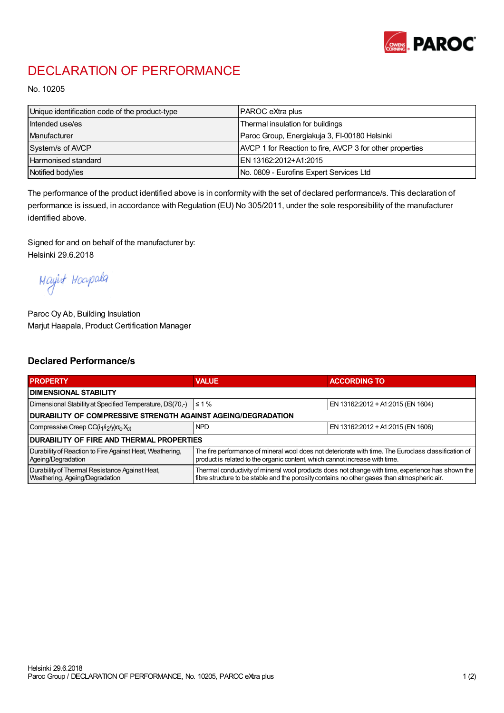

## DECLARATION OF PERFORMANCE

No. 10205

| Unique identification code of the product-type | <b>PAROC</b> eXtra plus                                  |
|------------------------------------------------|----------------------------------------------------------|
| Intended use/es                                | Thermal insulation for buildings                         |
| Manufacturer                                   | Paroc Group, Energiakuja 3, FI-00180 Helsinki            |
| System/s of AVCP                               | AVCP 1 for Reaction to fire, AVCP 3 for other properties |
| Harmonised standard                            | IEN 13162:2012+A1:2015                                   |
| Notified body/ies                              | No. 0809 - Eurofins Expert Services Ltd                  |

The performance of the product identified above is in conformity with the set of declared performance/s. This declaration of performance is issued, in accordance with Regulation (EU) No 305/2011, under the sole responsibility of the manufacturer identified above.

Signed for and on behalf of the manufacturer by: Helsinki 29.6.2018

Mayirt Hoapala

Paroc Oy Ab, Building Insulation Marjut Haapala, Product Certification Manager

## Declared Performance/s

| <b>PROPERTY</b>                                                                  | <b>VALUE</b>                                                                                                                                                                                     | <b>ACCORDING TO</b>               |  |  |
|----------------------------------------------------------------------------------|--------------------------------------------------------------------------------------------------------------------------------------------------------------------------------------------------|-----------------------------------|--|--|
| <b>I DIMENSIONAL STABILITY</b>                                                   |                                                                                                                                                                                                  |                                   |  |  |
| Dimensional Stability at Specified Temperature, DS(70,-)                         | $\leq 1\%$                                                                                                                                                                                       | EN 13162:2012 + A1:2015 (EN 1604) |  |  |
| DURABILITY OF COMPRESSIVE STRENGTH AGAINST AGEING/DEGRADATION                    |                                                                                                                                                                                                  |                                   |  |  |
| Compressive Creep CC(i <sub>1</sub> /i <sub>2</sub> /y) $\sigma_c X_{ct}$        | <b>NPD</b>                                                                                                                                                                                       | EN 13162:2012 + A1:2015 (EN 1606) |  |  |
| <b>DURABILITY OF FIRE AND THERMAL PROPERTIES</b>                                 |                                                                                                                                                                                                  |                                   |  |  |
| Durability of Reaction to Fire Against Heat, Weathering,<br>Ageing/Degradation   | The fire performance of mineral wool does not deteriorate with time. The Euroclass classification of<br>product is related to the organic content, which cannot increase with time.              |                                   |  |  |
| Durability of Thermal Resistance Against Heat,<br>Weathering, Ageing/Degradation | Thermal conductivity of mineral wool products does not change with time, experience has shown the<br>fibre structure to be stable and the porosity contains no other gases than atmospheric air. |                                   |  |  |